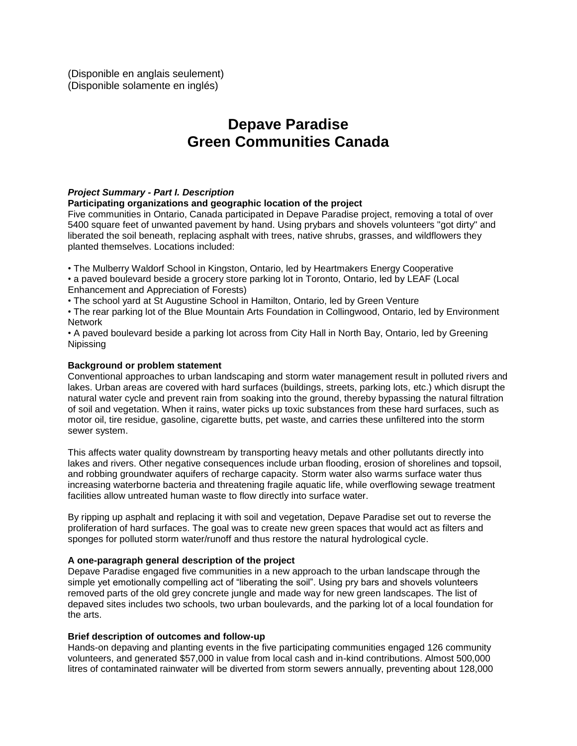(Disponible en anglais seulement) (Disponible solamente en inglés)

# **Depave Paradise Green Communities Canada**

# *Project Summary - Part I. Description*

### **Participating organizations and geographic location of the project**

Five communities in Ontario, Canada participated in Depave Paradise project, removing a total of over 5400 square feet of unwanted pavement by hand. Using prybars and shovels volunteers "got dirty" and liberated the soil beneath, replacing asphalt with trees, native shrubs, grasses, and wildflowers they planted themselves. Locations included:

• The Mulberry Waldorf School in Kingston, Ontario, led by Heartmakers Energy Cooperative

• a paved boulevard beside a grocery store parking lot in Toronto, Ontario, led by LEAF (Local Enhancement and Appreciation of Forests)

• The school yard at St Augustine School in Hamilton, Ontario, led by Green Venture

• The rear parking lot of the Blue Mountain Arts Foundation in Collingwood, Ontario, led by Environment **Network** 

• A paved boulevard beside a parking lot across from City Hall in North Bay, Ontario, led by Greening Nipissing

### **Background or problem statement**

Conventional approaches to urban landscaping and storm water management result in polluted rivers and lakes. Urban areas are covered with hard surfaces (buildings, streets, parking lots, etc.) which disrupt the natural water cycle and prevent rain from soaking into the ground, thereby bypassing the natural filtration of soil and vegetation. When it rains, water picks up toxic substances from these hard surfaces, such as motor oil, tire residue, gasoline, cigarette butts, pet waste, and carries these unfiltered into the storm sewer system.

This affects water quality downstream by transporting heavy metals and other pollutants directly into lakes and rivers. Other negative consequences include urban flooding, erosion of shorelines and topsoil, and robbing groundwater aquifers of recharge capacity. Storm water also warms surface water thus increasing waterborne bacteria and threatening fragile aquatic life, while overflowing sewage treatment facilities allow untreated human waste to flow directly into surface water.

By ripping up asphalt and replacing it with soil and vegetation, Depave Paradise set out to reverse the proliferation of hard surfaces. The goal was to create new green spaces that would act as filters and sponges for polluted storm water/runoff and thus restore the natural hydrological cycle.

### **A one-paragraph general description of the project**

Depave Paradise engaged five communities in a new approach to the urban landscape through the simple yet emotionally compelling act of "liberating the soil". Using pry bars and shovels volunteers removed parts of the old grey concrete jungle and made way for new green landscapes. The list of depaved sites includes two schools, two urban boulevards, and the parking lot of a local foundation for the arts.

### **Brief description of outcomes and follow-up**

Hands-on depaving and planting events in the five participating communities engaged 126 community volunteers, and generated \$57,000 in value from local cash and in-kind contributions. Almost 500,000 litres of contaminated rainwater will be diverted from storm sewers annually, preventing about 128,000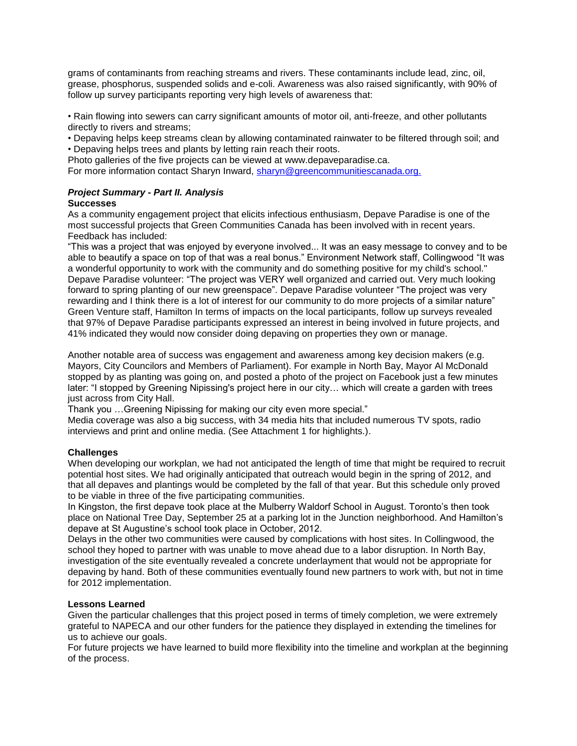grams of contaminants from reaching streams and rivers. These contaminants include lead, zinc, oil, grease, phosphorus, suspended solids and e-coli. Awareness was also raised significantly, with 90% of follow up survey participants reporting very high levels of awareness that:

• Rain flowing into sewers can carry significant amounts of motor oil, anti-freeze, and other pollutants directly to rivers and streams;

• Depaving helps keep streams clean by allowing contaminated rainwater to be filtered through soil; and • Depaving helps trees and plants by letting rain reach their roots.

Photo galleries of the five projects can be viewed at www.depaveparadise.ca.

For more information contact Sharyn Inward, [sharyn@greencommunitiescanada.org.](mailto:sharyn@greencommunitiescanada.org)

#### *Project Summary - Part II. Analysis* **Successes**

As a community engagement project that elicits infectious enthusiasm, Depave Paradise is one of the most successful projects that Green Communities Canada has been involved with in recent years. Feedback has included:

"This was a project that was enjoyed by everyone involved... It was an easy message to convey and to be able to beautify a space on top of that was a real bonus." Environment Network staff, Collingwood "It was a wonderful opportunity to work with the community and do something positive for my child's school." Depave Paradise volunteer: "The project was VERY well organized and carried out. Very much looking forward to spring planting of our new greenspace". Depave Paradise volunteer "The project was very rewarding and I think there is a lot of interest for our community to do more projects of a similar nature" Green Venture staff, Hamilton In terms of impacts on the local participants, follow up surveys revealed that 97% of Depave Paradise participants expressed an interest in being involved in future projects, and 41% indicated they would now consider doing depaving on properties they own or manage.

Another notable area of success was engagement and awareness among key decision makers (e.g. Mayors, City Councilors and Members of Parliament). For example in North Bay, Mayor Al McDonald stopped by as planting was going on, and posted a photo of the project on Facebook just a few minutes later: "I stopped by Greening Nipissing's project here in our city… which will create a garden with trees just across from City Hall.

Thank you …Greening Nipissing for making our city even more special."

Media coverage was also a big success, with 34 media hits that included numerous TV spots, radio interviews and print and online media. (See Attachment 1 for highlights.).

### **Challenges**

When developing our workplan, we had not anticipated the length of time that might be required to recruit potential host sites. We had originally anticipated that outreach would begin in the spring of 2012, and that all depaves and plantings would be completed by the fall of that year. But this schedule only proved to be viable in three of the five participating communities.

In Kingston, the first depave took place at the Mulberry Waldorf School in August. Toronto's then took place on National Tree Day, September 25 at a parking lot in the Junction neighborhood. And Hamilton's depave at St Augustine's school took place in October, 2012.

Delays in the other two communities were caused by complications with host sites. In Collingwood, the school they hoped to partner with was unable to move ahead due to a labor disruption. In North Bay, investigation of the site eventually revealed a concrete underlayment that would not be appropriate for depaving by hand. Both of these communities eventually found new partners to work with, but not in time for 2012 implementation.

### **Lessons Learned**

Given the particular challenges that this project posed in terms of timely completion, we were extremely grateful to NAPECA and our other funders for the patience they displayed in extending the timelines for us to achieve our goals.

For future projects we have learned to build more flexibility into the timeline and workplan at the beginning of the process.